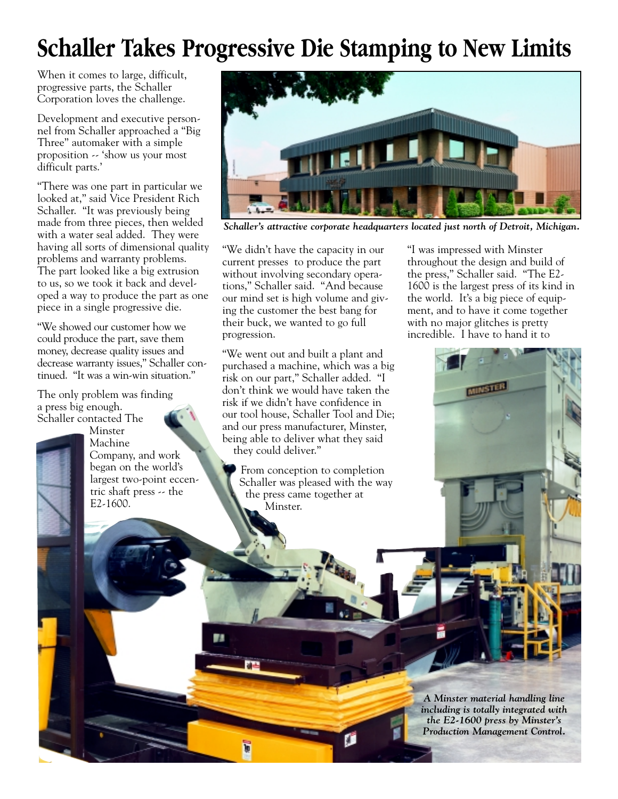## **Schaller Takes Progressive Die Stamping to New Limits**

When it comes to large, difficult, progressive parts, the Schaller Corporation loves the challenge.

Development and executive personnel from Schaller approached a "Big Three" automaker with a simple proposition -- 'show us your most difficult parts.'

"There was one part in particular we looked at," said Vice President Rich Schaller. "It was previously being made from three pieces, then welded with a water seal added. They were having all sorts of dimensional quality problems and warranty problems. The part looked like a big extrusion to us, so we took it back and developed a way to produce the part as one piece in a single progressive die.

"We showed our customer how we could produce the part, save them money, decrease quality issues and decrease warranty issues," Schaller continued. "It was a win-win situation."

The only problem was finding a press big enough.

Schaller contacted The Minster Machine Company, and work began on the world's largest two-point eccentric shaft press -- the E2-1600.



*Schaller's attractive corporate headquarters located just north of Detroit, Michigan.*

"We didn't have the capacity in our current presses to produce the part without involving secondary operations," Schaller said. "And because our mind set is high volume and giving the customer the best bang for their buck, we wanted to go full progression.

"We went out and built a plant and purchased a machine, which was a big risk on our part," Schaller added. "I don't think we would have taken the risk if we didn't have confidence in our tool house, Schaller Tool and Die; and our press manufacturer, Minster, being able to deliver what they said they could deliver."

From conception to completion Schaller was pleased with the way the press came together at Minster.

"I was impressed with Minster throughout the design and build of the press," Schaller said. "The E2- 1600 is the largest press of its kind in the world. It's a big piece of equipment, and to have it come together with no major glitches is pretty incredible. I have to hand it to



*A Minster material handling line including is totally integrated with the E2-1600 press by Minster's Production Management Control.*